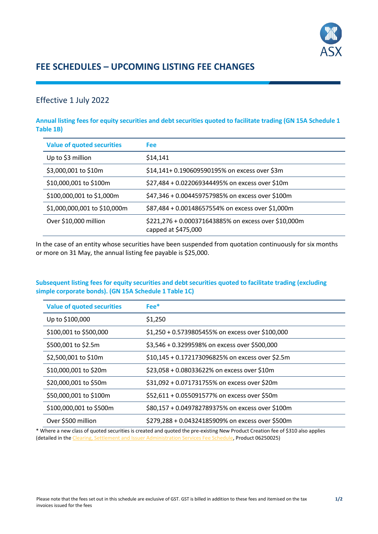

# **FEE SCHEDULES – UPCOMING LISTING FEE CHANGES**

### Effective 1 July 2022

**Annual listing fees for equity securities and debt securities quoted to facilitate trading (GN 15A Schedule 1 Table 1B)**

| <b>Value of quoted securities</b> | Fee                                                                         |
|-----------------------------------|-----------------------------------------------------------------------------|
| Up to \$3 million                 | \$14,141                                                                    |
| \$3,000,001 to \$10m              | \$14,141+ 0.190609590195% on excess over \$3m                               |
| \$10,000,001 to \$100m            | \$27,484 + 0.022069344495% on excess over \$10m                             |
| \$100,000,001 to \$1,000m         | \$47,346 + 0.004459757985% on excess over \$100m                            |
| \$1,000,000,001 to \$10,000m      | \$87,484 + 0.00148657554% on excess over \$1,000m                           |
| Over \$10,000 million             | \$221,276 + 0.000371643885% on excess over \$10,000m<br>capped at \$475,000 |

In the case of an entity whose securities have been suspended from quotation continuously for six months or more on 31 May, the annual listing fee payable is \$25,000.

#### **Subsequent listing fees for equity securities and debt securities quoted to facilitate trading (excluding simple corporate bonds). (GN 15A Schedule 1 Table 1C)**

| <b>Value of quoted securities</b> | $Fee$ *                                          |
|-----------------------------------|--------------------------------------------------|
| Up to \$100,000                   | \$1,250                                          |
| \$100,001 to \$500,000            | \$1,250 + 0.5739805455% on excess over \$100,000 |
| \$500,001 to \$2.5m               | \$3,546 + 0.3299598% on excess over \$500,000    |
| \$2,500,001 to \$10m              | \$10,145 + 0.172173096825% on excess over \$2.5m |
| \$10,000,001 to \$20m             | \$23,058 + 0.08033622% on excess over \$10m      |
| \$20,000,001 to \$50m             | \$31,092 + 0.071731755% on excess over \$20m     |
| \$50,000,001 to \$100m            | \$52,611 + 0.055091577% on excess over \$50m     |
| \$100,000,001 to \$500m           | \$80,157 + 0.049782789375% on excess over \$100m |
| Over \$500 million                | \$279,288 + 0.04324185909% on excess over \$500m |

\* Where a new class of quoted securities is created and quoted the pre-existing New Product Creation fee of \$310 also applies (detailed in th[e Clearing, Settlement and Issuer Administration Services Fee Schedule,](https://asxonline.com/content/dam/asxonline/public/documents/schedule-of-fees/clearing-settlement-and-issuer-administration-services-schedule-of-fees.pdf) Product 06250025)